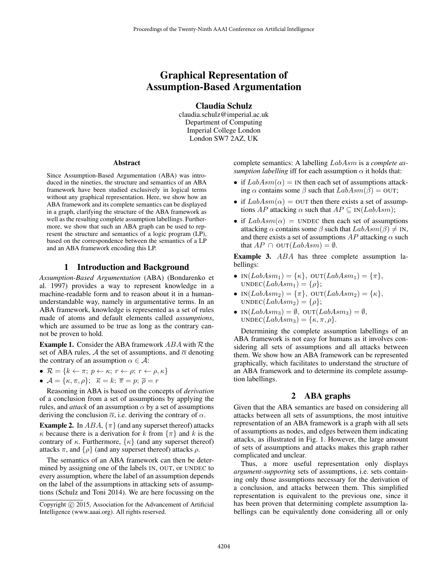# Graphical Representation of Assumption-Based Argumentation

Claudia Schulz

claudia.schulz@imperial.ac.uk Department of Computing Imperial College London London SW7 2AZ, UK

#### Abstract

Since Assumption-Based Argumentation (ABA) was introduced in the nineties, the structure and semantics of an ABA framework have been studied exclusively in logical terms without any graphical representation. Here, we show how an ABA framework and its complete semantics can be displayed in a graph, clarifying the structure of the ABA framework as well as the resulting complete assumption labellings. Furthermore, we show that such an ABA graph can be used to represent the structure and semantics of a logic program (LP), based on the correspondence between the semantics of a LP and an ABA framework encoding this LP.

#### 1 Introduction and Background

*Assumption-Based Argumentation* (ABA) (Bondarenko et al. 1997) provides a way to represent knowledge in a machine-readable form and to reason about it in a humanunderstandable way, namely in argumentative terms. In an ABA framework, knowledge is represented as a set of rules made of atoms and default elements called *assumptions*, which are assumed to be true as long as the contrary cannot be proven to hold.

**Example 1.** Consider the ABA framework  $ABA$  with  $R$  the set of ABA rules, A the set of assumptions, and  $\overline{\alpha}$  denoting the contrary of an assumption  $\alpha \in \mathcal{A}$ :

- $\mathcal{R} = \{k \leftarrow \pi; p \leftarrow \kappa; r \leftarrow \rho; r \leftarrow \rho, \kappa\}$
- $\mathcal{A} = \{\kappa, \pi, \rho\}; \overline{\kappa} = k; \overline{\pi} = p; \overline{\rho} = r$

Reasoning in ABA is based on the concepts of *derivation* of a conclusion from a set of assumptions by applying the rules, and *attack* of an assumption  $\alpha$  by a set of assumptions deriving the conclusion  $\overline{\alpha}$ , i.e. deriving the contrary of  $\alpha$ .

**Example 2.** In  $ABA$ ,  $\{\pi\}$  (and any superset thereof) attacks  $\kappa$  because there is a derivation for k from  $\{\pi\}$  and k is the contrary of  $\kappa$ . Furthermore,  $\{\kappa\}$  (and any superset thereof) attacks  $\pi$ , and  $\{\rho\}$  (and any superset thereof) attacks  $\rho$ .

The semantics of an ABA framework can then be determined by assigning one of the labels IN, OUT, or UNDEC to every assumption, where the label of an assumption depends on the label of the assumptions in attacking sets of assumptions (Schulz and Toni 2014). We are here focussing on the

complete semantics: A labelling LabAsm is a *complete assumption labelling* iff for each assumption  $\alpha$  it holds that:

- if  $LabAsm(\alpha) = \text{IN}$  then each set of assumptions attacking  $\alpha$  contains some  $\beta$  such that  $LabAsm(\bar{\beta}) =$  OUT;
- if  $LabAsm(\alpha) =$  OUT then there exists a set of assumptions AP attacking  $\alpha$  such that  $AP \subseteq IN(LabAsm);$
- if  $LabAsm(\alpha) =$  UNDEC then each set of assumptions attacking  $\alpha$  contains some  $\beta$  such that  $LabAsm(\beta) \neq \text{IN}$ , and there exists a set of assumptions  $AP$  attacking  $\alpha$  such that  $AP \cap$  OUT( $LabAsm$ ) =  $\emptyset$ .

Example 3. ABA has three complete assumption labellings:

- IN $(LabAsm_1) = {\kappa}$ ,  $OUT(LabAsm_1) = {\pi}$ ,  $UNDEC(LabAsm_1) = \{\rho\};$
- IN $(LabAsm_2) = {\pi}$ , OUT $(LabAsm_2) = {\kappa}$ ,  $UNDEC(LabAsm<sub>2</sub>) = {\rho};$
- IN $(LabAsm_3) = \emptyset$ , OUT $(LabAsm_3) = \emptyset$ , UNDEC( $LabAsm_3$ ) = { $\kappa$ ,  $\pi$ ,  $\rho$ }.

Determining the complete assumption labellings of an ABA framework is not easy for humans as it involves considering all sets of assumptions and all attacks between them. We show how an ABA framework can be represented graphically, which facilitates to understand the structure of an ABA framework and to determine its complete assumption labellings.

## 2 ABA graphs

Given that the ABA semantics are based on considering all attacks between all sets of assumptions, the most intuitive representation of an ABA framework is a graph with all sets of assumptions as nodes, and edges between them indicating attacks, as illustrated in Fig. 1. However, the large amount of sets of assumptions and attacks makes this graph rather complicated and unclear.

Thus, a more useful representation only displays *argument-supporting* sets of assumptions, i.e. sets containing only those assumptions necessary for the derivation of a conclusion, and attacks between them. This simplified representation is equivalent to the previous one, since it has been proven that determining complete assumption labellings can be equivalently done considering all or only

Copyright (c) 2015, Association for the Advancement of Artificial Intelligence (www.aaai.org). All rights reserved.